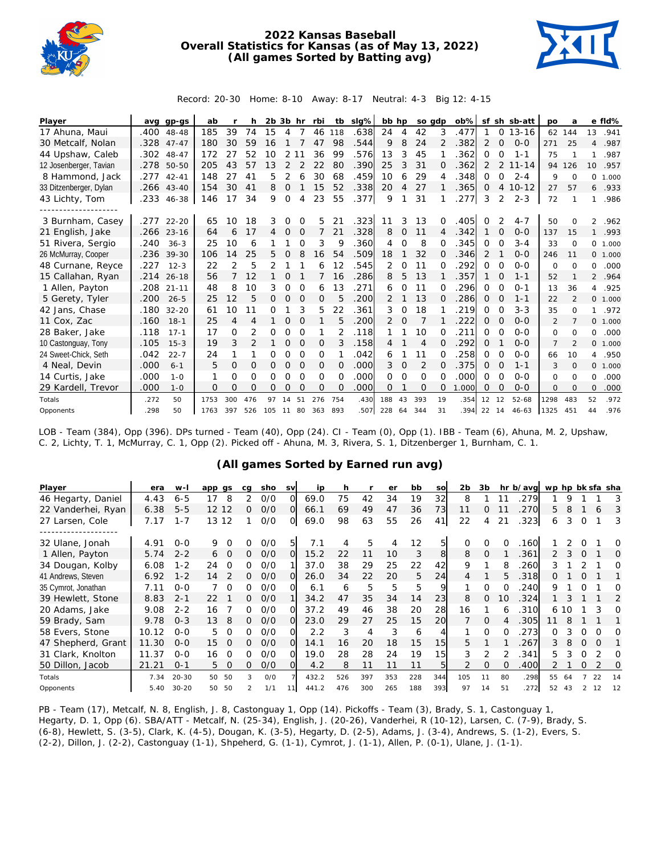

## **2022 Kansas Baseball Overall Statistics for Kansas (as of May 13, 2022) (All games Sorted by Batting avg)**



Record: 20-30 Home: 8-10 Away: 8-17 Neutral: 4-3 Big 12: 4-15

| Player                 |      | avg gp-gs  | ab   |                |                | $2b$ $3b$ hr |               |          | rbi         |          | tb slg% | bb hp          |          |          | so gdp   | $ob\%$ |    |          | sf sh sb-att | po             | a              |                | e fld%   |
|------------------------|------|------------|------|----------------|----------------|--------------|---------------|----------|-------------|----------|---------|----------------|----------|----------|----------|--------|----|----------|--------------|----------------|----------------|----------------|----------|
| 17 Ahuna, Maui         | .400 | 48-48      | 185  | 39             | 74             | 15           | 4             | 7        | 46          | 118      | .638    | 24             | 4        | 42       | 3        | .477   |    | 0        | $13 - 16$    | 62             | 144            | 13             | .941     |
| 30 Metcalf, Nolan      | .328 | $47 - 47$  | 180  | 30             | 59             | 16           |               |          | 47          | 98       | .544    | 9              | 8        | 24       | 2        | .382   | 2  | $\Omega$ | $0 - 0$      | 271            | 25             | 4              | .987     |
| 44 Upshaw, Caleb       | .302 | $48 - 47$  | 172  | 27             | 52             | 10           | 2             | 11       | 36          | 99       | .576    | 13             | 3        | 45       |          | 362    | 0  | 0        | $1 - 1$      | 75             |                | 1.             | .987     |
| 12 Josenberger, Tavian |      | .278 50-50 | 205  | 43             | 57             | 1.3          | $\mathcal{P}$ |          | 22          | 80       | .390    | 25             | 3        | 31       | O.       | .362   | 2  | 2        | $11 - 14$    | 94             | 126            |                | 10 .957  |
| 8 Hammond, Jack        | .277 | $42 - 41$  | 148  | 27             | 41             | 5            | 2             | 6        | 30          | 68       | .459    | 10             | 6        | 29       | 4        | .348   | 0  | $\Omega$ | $2 - 4$      | 9              | $\Omega$       | 0              | 1.000    |
| 33 Ditzenberger, Dylan | .266 | $43 - 40$  | 154  | 30             | 41             | 8            | 0             |          | 15          | 52       | .338    | 20             | 4        | 27       |          | .365   | 0  | 4        | $10 - 12$    | 27             | 57             | 6              | .933     |
| 43 Lichty, Tom         | .233 | 46-38      | 146  | 17             | 34             | 9            | 0             | 4        | 23          | 55       | .377    | 9              |          | 31       |          | .277   | 3  | 2        | $2 - 3$      | 72             |                | 1              | .986     |
|                        |      |            |      |                |                |              |               |          |             |          |         |                |          |          |          |        |    |          |              |                |                |                |          |
| 3 Burnham, Casey       | .277 | $22 - 20$  | 65   | 10             | 18             | 3            | Ω             | $\Omega$ | 5           | 21       | .323    | 11             |          | 13       | 0        | 405    | 0  | 2        | $4 - 7$      | 50             | $\Omega$       | 2              | .962     |
| 21 English, Jake       | .266 | $23 - 16$  | 64   | 6              | 17             | 4            | 0             | $\Omega$ | 7           | 21       | .328    | 8              | $\Omega$ | 11       | 4        | .342   |    | 0        | $O - O$      | 137            | 15             | $\mathbf{1}$   | .993     |
| 51 Rivera, Sergio      | .240 | $36 - 3$   | 25   | 10             | 6              |              |               | $\Omega$ | 3           | 9        | .360    | 4              | $\Omega$ | 8        | 0        | .345   | 0  | $\Omega$ | $3 - 4$      | 33             | $\Omega$       |                | 0 1.000  |
| 26 McMurray, Cooper    | .236 | $39 - 30$  | 106  | 14             | 25             | 5.           | $\Omega$      | 8        | 16          | 54       | .509    | 18             |          | 32       | O.       | .346   | 2  |          | $0 - 0$      | 246            | 11             |                | 0, 1,000 |
| 48 Curnane, Reyce      | .227 | $12 - 3$   | 22   | $\overline{2}$ | 5              |              |               |          | 6           | 12       | .545    | $\overline{2}$ | $\Omega$ | 11       | $\Omega$ | 292    | 0  | $\Omega$ | $O - O$      | 0              | $\Omega$       | 0              | .000     |
| 15 Callahan, Ryan      | .214 | $26 - 18$  | 56   |                | 12             |              | $\Omega$      |          | 7           | 16       | .286    | 8              | 5        | 13       |          | .357   | 1  | $\Omega$ | $1 - 1$      | 52             | $\mathbf{1}$   |                | 2 .964   |
| 1 Allen, Payton        | .208 | $21 - 11$  | 48   | 8              | 10             | 3            | 0             | $\Omega$ | 6           | 13       | .271    | 6              | $\Omega$ | 11       | 0        | 296    | 0  | $\Omega$ | $O - 1$      | 13             | 36             | $\overline{4}$ | .925     |
| 5 Gerety, Tyler        | .200 | $26 - 5$   | 25   | 12             | 5              | 0            | $\mathbf 0$   | $\Omega$ | 0           | 5        | .200    | 2              |          | 13       | $\Omega$ | .286   | 0  | $\Omega$ | $1 - 1$      | 22             | $\mathfrak{D}$ |                | 0 1.000  |
| 42 Jans, Chase         | .180 | $32 - 20$  | 61   | 10             | 11             | 0            |               | 3        | 5           | 22       | .361    | 3              | 0        | 18       |          | .219   | 0  | $\Omega$ | $3 - 3$      | 35             | $\Omega$       | $\mathbf{1}$   | .972     |
| 11 Cox, Zac            | .160 | $18 - 1$   | 25   | 4              | 4              | 1            | $\mathcal{O}$ | $\Omega$ |             | 5        | .200    | $\overline{2}$ | 0        | 7        |          | 222    | 0  | $\Omega$ | $O - O$      | 2              | 7              |                | 0, 1,000 |
| 28 Baker, Jake         | .118 | $17 - 1$   | 17   | 0              | 2              | 0            | 0             | $\Omega$ | 1           | 2        | .118    |                |          | 10       | $\Omega$ | 211    | 0  | $\Omega$ | $O - O$      | 0              | $\Omega$       | 0              | .000     |
| 10 Castonguay, Tony    | .105 | $15 - 3$   | 19   | 3              | $\overline{2}$ | 1            | $\mathcal{O}$ | $\Omega$ | 0           | 3        | .158    | 4              |          | 4        | $\Omega$ | .292   | 0  |          | $0 - 0$      | $\overline{7}$ | $\mathfrak{D}$ |                | 0, 1,000 |
| 24 Sweet-Chick, Seth   | .042 | $22 - 7$   | 24   | 1              |                | 0            | 0             | $\Omega$ | 0           |          | .042    | 6              |          | 11       | 0        | .258   | 0  | $\Omega$ | $0 - 0$      | 66             | 10             | $\overline{4}$ | .950     |
| 4 Neal, Devin          | .000 | $6 - 1$    | 5    | 0              | $\Omega$       | 0            | 0             | 0        | $\mathbf 0$ | $\Omega$ | .000    | 3              | 0        | 2        | $\Omega$ | .375   | 0  | O        | $1 - 1$      | 3              | $\Omega$       |                | 0 1.000  |
| 14 Curtis, Jake        | .000 | $1 - 0$    | 1    | $\Omega$       | 0              | 0            | 0             | $\Omega$ | 0           | $\Omega$ | .000    | $\Omega$       | $\Omega$ | $\Omega$ | O        | .000   | 0  | $\Omega$ | $0 - 0$      | $\Omega$       | $\Omega$       | 0              | .000     |
| 29 Kardell, Trevor     | .000 | $1 - 0$    | 0    | 0              | O              | 0            | $\Omega$      | $\Omega$ | 0           | $\Omega$ | .000    | 0              |          | $\Omega$ | $\Omega$ | 1.000  | 0  | O        | $0 - 0$      | 0              | $\Omega$       | 0              | .000     |
| Totals                 | .272 | 50         | 1753 | 300            | 476            | 97           | 14            | 51       | 276         | 754      | .430    | 188            | 43       | 393      | 19       | .354   | 12 | 12       | $52 - 68$    | 1298           | 483            | 52             | .972     |
| Opponents              | .298 | 50         | 1763 | 397            | 526            | 105          | 11            | 80       | 363         | 893      | 507     | 228            | 64       | 344      | 31       | .394   | 22 | - 14     | $46 - 63$    | 1325           | 451            | 44             | .976     |

LOB - Team (384), Opp (396). DPs turned - Team (40), Opp (24). CI - Team (0), Opp (1). IBB - Team (6), Ahuna, M. 2, Upshaw, C. 2, Lichty, T. 1, McMurray, C. 1, Opp (2). Picked off - Ahuna, M. 3, Rivera, S. 1, Ditzenberger 1, Burnham, C. 1.

## **(All games Sorted by Earned run avg)**

| Player              | era   | w-l       | app qs         | ca | sho | <b>SV</b> | ip    | h   |     | er  | bb  | SO  | 2 <sub>b</sub> | 3b       |    | hr b/avg | wp hp bk sfa sha |     |          |          |    |
|---------------------|-------|-----------|----------------|----|-----|-----------|-------|-----|-----|-----|-----|-----|----------------|----------|----|----------|------------------|-----|----------|----------|----|
| 46 Hegarty, Daniel  | 4.43  | $6 - 5$   | 17<br>8        | 2  | 0/0 | Ω         | 69.0  | 75  | 42  | 34  | 19  | 32  | 8              |          | 11 | 279      |                  | 9   |          |          | 3  |
| 22 Vanderhei, Ryan  | 6.38  | $5 - 5$   | 12 12          | 0  | O/O | $\Omega$  | 66.1  | 69  | 49  | 47  | 36  | 73  | 11             | 0        |    | 270      | 5.               | 8   |          | 6        | 3  |
| 27 Larsen, Cole     | 7.17  | $1 - 7$   | 13<br>12       |    | 0/0 | O         | 69.0  | 98  | 63  | 55  | 26  | 41  | 22             | 4        | 21 | 323      | 6                | 3   | 0        |          | 3  |
|                     |       |           |                |    |     |           |       |     |     |     |     |     |                |          |    |          |                  |     |          |          |    |
| 32 Ulane, Jonah     | 4.91  | $O-O$     | 9<br>O         |    | 0/0 | 5         | 7.1   |     | 5   | 4   | 12  | 51  |                |          |    | .160     |                  |     |          |          | O  |
| 1 Allen, Payton     | 5.74  | $2 - 2$   | $\Omega$<br>6  | 0  | O/O | Ω         | 15.2  | 22  | 11  | 10  | 3   | 8   | 8              | $\Omega$ |    | 361      |                  |     | $\Omega$ |          | Ω  |
| 34 Dougan, Kolby    | 6.08  | $1 - 2$   | 24<br>O        | Ω  | O/O |           | 37.0  | 38  | 29  | 25  | 22  | 42  | 9              |          |    | 260      |                  |     |          |          | Ω  |
| 41 Andrews, Steven  | 6.92  | $1 - 2$   | 14             | Ω. | O/O |           | 26.0  | 34  | 22  | 20  | 5   | 24  |                |          | 5. | .318     |                  |     |          |          |    |
| 35 Cymrot, Jonathan | 7.11  | $0 - 0$   | ∩              | Ω. | O/O |           | 6.1   | 6   | 5   | 5   | 5   | Q   |                | ∩        |    | 240      | 9                |     |          |          | Ω  |
| 39 Hewlett, Stone   | 8.83  | $2 - 1$   | 22             | Ω. | O/O |           | 34.2  | 47  | 35  | 34  | 14  | 23  | 8              | $\Omega$ | 10 | .324     |                  |     |          |          | 2  |
| 20 Adams, Jake      | 9.08  | $2 - 2$   | 16             | ∩  | 0/0 |           | 37.2  | 49  | 46  | 38  | 20  | 28  | 16             |          | h  | 310      |                  | 610 |          |          | 0  |
| 59 Brady, Sam       | 9.78  | $0 - 3$   | 13<br>8        | 0  | O/O | O         | 23.0  | 29  | 27  | 25  | 15  | 20  |                | $\Omega$ |    | 305      |                  |     |          |          |    |
| 58 Evers, Stone     | 10.12 | $O-O$     | 5.<br>$\Omega$ | 0  | O/O |           | 2.2   | 3   | 4   | 3   | 6   |     |                | $\Omega$ |    | 273      | ∩                |     |          |          | Ω  |
| 47 Shepherd, Grant  | 11.30 | $0 - 0$   | 15<br>O        | Ω. | O/O | $\Omega$  | 14.1  | 16  | 20  | 18  | 15  | 15  | 5.             |          |    | .267     | 3                |     |          | $\Omega$ |    |
| 31 Clark, Knolton   | 11.37 | $0 - 0$   | 16<br>Ω        |    | 0/0 |           | 19.0  | 28  | 28  | 24  | 19  | 15  | 3              |          |    | 341      | 5.               |     |          |          | Ω  |
| 50 Dillon, Jacob    | 21.21 | $0 - 1$   | 5<br>$\Omega$  | 0  | O/O |           | 4.2   | 8   | 11  |     | 11  |     |                |          |    | 400      |                  |     |          |          | 0  |
| Totals              | 7.34  | $20 - 30$ | - 50<br>50     |    | O/O |           | 432.2 | 526 | 397 | 353 | 228 | 344 | 105            | 11       | 80 | .298     | 55               | 64  |          | 22       | 14 |
| Opponents           | 5.40  | $30 - 20$ | 50<br>50       |    | 1/1 | 11        | 441.2 | 476 | 300 | 265 | 188 | 393 | 97             | 14       | 51 | .272     | 52               | 43  |          |          | 12 |

PB - Team (17), Metcalf, N. 8, English, J. 8, Castonguay 1, Opp (14). Pickoffs - Team (3), Brady, S. 1, Castonguay 1, Hegarty, D. 1, Opp (6). SBA/ATT - Metcalf, N. (25-34), English, J. (20-26), Vanderhei, R (10-12), Larsen, C. (7-9), Brady, S. (6-8), Hewlett, S. (3-5), Clark, K. (4-5), Dougan, K. (3-5), Hegarty, D. (2-5), Adams, J. (3-4), Andrews, S. (1-2), Evers, S. (2-2), Dillon, J. (2-2), Castonguay (1-1), Shpeherd, G. (1-1), Cymrot, J. (1-1), Allen, P. (0-1), Ulane, J. (1-1).